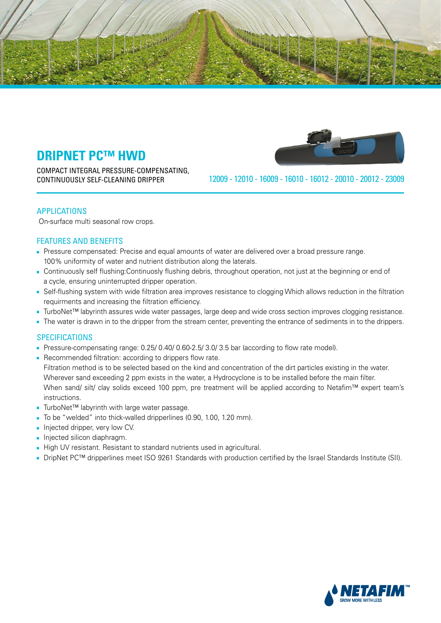

COMPACT INTEGRAL PRESSURE-COMPENSATING, CONTINUOUSLY SELF-CLEANING DRIPPER



23009 - 20012 - 20010 - 16012 - 16010 - 16009 - 12010 - 12009

#### **APPLICATIONS**

On-surface multi seasonal row crops.

### FEATURES AND BENEFITS

- Pressure compensated: Precise and equal amounts of water are delivered over a broad pressure range. 100% uniformity of water and nutrient distribution along the laterals.
- Continuously self flushing: Continuosly flushing debris, throughout operation, not just at the beginning or end of a cycle, ensuring uninterrupted dripper operation.
- Self-flushing system with wide filtration area improves resistance to clogging Which allows reduction in the filtration requirments and increasing the filtration efficiency.
- TurboNet<sup>™</sup> labyrinth assures wide water passages, large deep and wide cross section improves clogging resistance.
- The water is drawn in to the dripper from the stream center, preventing the entrance of sediments in to the drippers.

#### **SPECIFICATIONS**

- Pressure-compensating range: 0.25/ 0.40/ 0.60-2.5/ 3.0/ 3.5 bar (according to flow rate model).
- Recommended filtration: according to drippers flow rate. Filtration method is to be selected based on the kind and concentration of the dirt particles existing in the water. Wherever sand exceeding 2 ppm exists in the water, a Hydrocyclone is to be installed before the main filter. When sand/ silt/ clay solids exceed 100 ppm, pre treatment will be applied according to Netafim™ expert team's .instructions
- TurboNet<sup>™</sup> labyrinth with large water passage.
- To be "welded" into thick-walled dripperlines (0.90, 1.00, 1.20 mm).
- Injected dripper, very low CV.
- Injected silicon diaphragm.
- High UV resistant. Resistant to standard nutrients used in agricultural.
- DripNet PC<sup>™</sup> dripperlines meet ISO 9261 Standards with production certified by the Israel Standards Institute (SII).